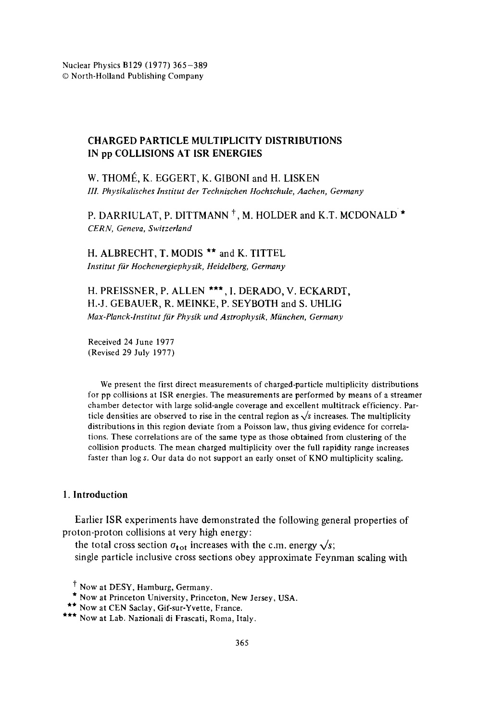# CHARGED PARTICLE MULTIPLICITY DISTRIBUTIONS IN pp COLLISIONS AT 1SR ENERGIES

W. THOMÉ, K. EGGERT, K. GIBONI and H. LISKEN *111. Physikalisches Institut der Technischen Hochschule, Aachen, Germany* 

P. DARRIULAT, P. DITTMANN<sup>†</sup>, M. HOLDER and K.T. MCDONALD<sup>\*</sup> *CERN, Geneva, Switzerland* 

H. ALBRECHT, T. MODIS \*\* and K. TITTEL *Institut fiir Hochenergiephysik, Heidelberg, Germany* 

H. PREISSNER, P. ALLEN \*\*\*, I. DERADO, V. ECKARDT, H.-J. GEBAUER, R. MEINKE, P. SEYBOTH and S. UHLIG *Max-Planck.Institut fiir Physik und Astrophysik, Mfinchen, Germany* 

Received 24 June 1977 (Revised 29 July 1977)

We present the first direct measurements of charged-particle multiplicity distributions for pp collisions at ISR energies. The measurements are performed by means of a streamer chamber detector with large solid-angle coverage and excellent multitrack efficiency. Particle densities are observed to rise in the central region as  $\sqrt{s}$  increases. The multiplicity distributions in this region deviate from a Poisson law, thus giving evidence for correlations. These correlations are of the same type as those obtained from clustering of the collision products. The mean charged multiplicity over the full rapidity range increases faster than log s. Our data do not support an early onset of KNO multiplicity scaling.

# **1. Introduction**

Earlier ISR experiments have demonstrated the following general properties of proton-proton collisions at very high energy:

the total cross section  $\sigma_{tot}$  increases with the c.m. energy  $\sqrt{s}$ ; single particle inclusive cross sections obey approximate Feynman scaling with

t Now at DESY, Hamburg, Germany.

<sup>\*</sup> Now at Princeton University, Princeton, New Jersey, USA.

<sup>\*\*</sup> Now at CEN Saclay, Gif-sur-Yvette, France.

<sup>\*\*\*</sup> Now at Lab. Nazionali di Frascati, Roma, Italy.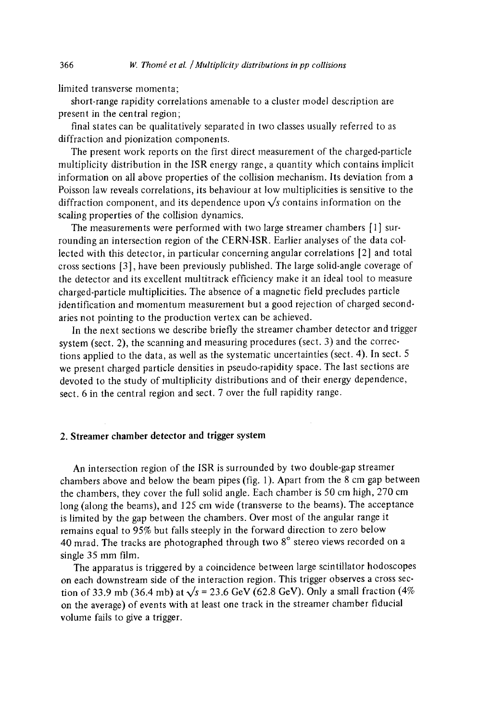limited transverse momenta;

short-range rapidity correlations amenable to a cluster model description are present in the central region;

final states can be qualitatively separated in two classes usually referred to as diffraction and pionization components.

The present work reports on the first direct measurement of the charged-particle multiplicity distribution in the ISR energy range, a quantity which contains implicit information on all above properties of the collision mechanism. Its deviation from a Poisson law reveals correlations, its behaviour at low multiplicities is sensitive to the diffraction component, and its dependence upon  $\sqrt{s}$  contains information on the scaling properties of the collision dynamics.

The measurements were performed with two large streamer chambers [1] surrounding an intersection region of the CERN-ISR. Earlier analyses of the data collected with this detector, in particular concerning angular correlations [2] and total cross sections [3], have been previously published. The large solid-angle coverage of the detector and its excellent multitrack efficiency make it an ideal tool to measure charged-particle multiplicities. The absence of a magnetic field precludes particle identification and momentum measurement but a good rejection of charged secondaries not pointing to the production vertex can be achieved.

In the next sections we describe briefly the streamer chamber detector and trigger system (sect. 2), the scanning and measuring procedures (sect. 3) and the corrections applied to the data, as well as the systematic uncertainties (sect. 4). In sect. 5 we present charged particle densities in pseudo-rapidity space. The last sections are devoted to the study of multiplicity distributions and of their energy dependence, sect. 6 in the central region and sect. 7 over the full rapidity range.

## 2. Streamer **chamber detector and trigger** system

An intersection region of the ISR is surrounded by two double-gap streamer chambers above and below the beam pipes (fig. 1). Apart from the 8 cm gap between the chambers, they cover the full solid angle. Each chamber is 50 cm high, 270 cm long (along the beams), and 125 cm wide (transverse to the beams). The acceptance is limited by the gap between the chambers. Over most of the angular range it remains equal to 95% but falls steeply in the forward direction to zero below 40 mrad. The tracks are photographed through two  $8^\circ$  stereo views recorded on a single 35 mm film.

The apparatus is triggered by a coincidence between large scintillator hodoscopes on each downstream side of the interaction region. This trigger observes a cross section of 33.9 mb (36.4 mb) at  $\sqrt{s}$  = 23.6 GeV (62.8 GeV). Only a small fraction (4% on the average) of events with at least one track in the streamer chamber fiducial volume fails to give a trigger.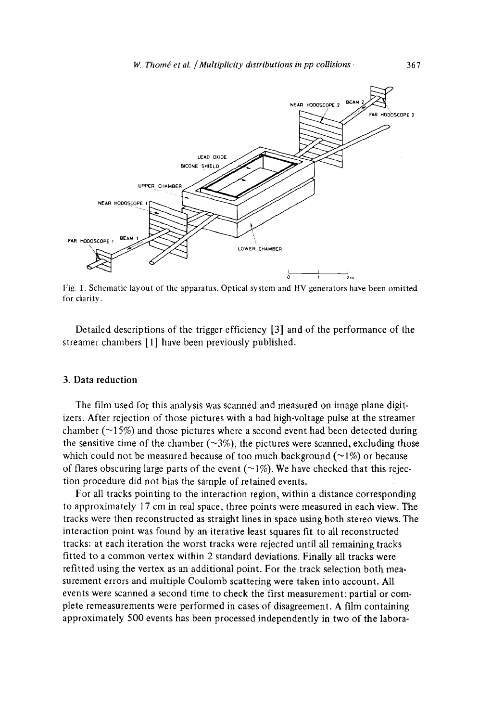

Fig. 1. Schematic layout of the apparatus. Optical system and HV generators have been omitted for clarity.

Detailed descriptions of the trigger efficiency [3] and of the performance of the streamer chambers [1] have been previously published.

#### 3. Data reduction

The film used for this analysis was scanned and measured on image plane digitizers. After rejection of those pictures with a bad high-voltage pulse at the streamer chamber ( $\sim$ 15%) and those pictures where a second event had been detected during the sensitive time of the chamber  $(\sim 3\%)$ , the pictures were scanned, excluding those which could not be measured because of too much background  $(\sim 1\%)$  or because of flares obscuring large parts of the event  $(\sim 1\%)$ . We have checked that this rejection procedure did not bias the sample of retained events.

For all tracks pointing to the interaction region, within a distance corresponding to approximately 17 cm in real space, three points were measured in each view. The tracks were then reconstructed as straight lines in space using both stereo views. The interaction point was found by an iterative least squares fit to all reconstructed tracks: at each iteration the worst tracks were rejected until all remaining tracks fitted to a common vertex within 2 standard deviations. Finally all tracks were refitted using the vertex as an additional point. For the track selection both measurement errors and multiple Coulomb scattering were taken into account. All events were scanned a second time to check the first measurement; partial or complete remeasurements were performed in cases of disagreement. A film containing approximately 500 events has been processed independently in two of the labora-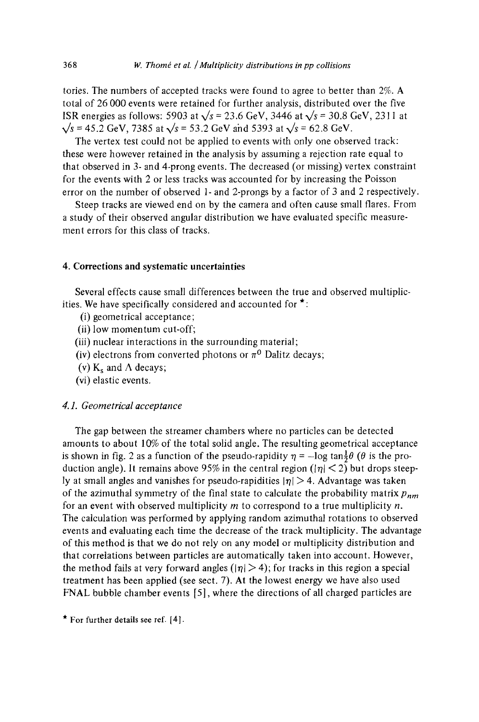tories. The numbers of accepted tracks were found to agree to better than 2%. A total of 26 000 events were retained for further analysis, distributed over the five ISR energies as follows: 5903 at  $\sqrt{s}$  = 23.6 GeV, 3446 at  $\sqrt{s}$  = 30.8 GeV, 2311 at  $\sqrt{s}$  = 45.2 GeV, 7385 at  $\sqrt{s}$  = 53.2 GeV and 5393 at  $\sqrt{s}$  = 62.8 GeV.

The vertex test could not be applied to events with only one observed track: these were however retained in the analysis by assuming a rejection rate equal to that observed in 3- and 4-prong events. The decreased (or missing) vertex constraint for the events with 2 or less tracks was accounted for by increasing the Poisson error on the number of observed 1- and 2-prongs by a factor of 3 and 2 respectively.

Steep tracks are viewed end on by the camera and often cause small flares. From a study of their observed angular distribution we have evaluated specific measurement errors for this class of tracks.

# 4. Corrections and systematic uncertainties

Several effects cause small differences between the true and observed multiplicities. We have specifically considered and accounted for  $\star$ :

- (i) geometrical acceptance;
- (ii) low momentum cut-off;
- (iii) nuclear interactions in the surrounding material;
- (iv) electrons from converted photons or  $\pi^0$  Dalitz decays;
- (v)  $K_s$  and  $\Lambda$  decays;
- (vi) elastic events.

# *4.1. Geometrical acceptance*

The gap between the streamer chambers where no particles can be detected amounts to about 10% of the total solid angle. The resulting geometrical acceptance is shown in fig. 2 as a function of the pseudo-rapidity  $\eta = -\log \tan \frac{1}{2}\theta$  ( $\theta$  is the production angle). It remains above 95% in the central region ( $|\eta|$  < 2) but drops steeply at small angles and vanishes for pseudo-rapidities  $|\eta| > 4$ . Advantage was taken of the azimuthal symmetry of the final state to calculate the probability matrix *Pnm*  for an event with observed multiplicity  $m$  to correspond to a true multiplicity  $n$ . The calculation was performed by applying random azimuthal rotations to observed events and evaluating each time the decrease of the track multiplicity. The advantage of this method is that we do not rely on any model or multiplicity distribution and that correlations between particles are automatically taken into account. However, the method fails at very forward angles ( $|\eta| > 4$ ); for tracks in this region a special treatment has been applied (see sect. 7). At the lowest energy we have also used FNAL bubble chamber events [5], where the directions of all charged particles are

\* For further details see ref.  $[4]$ .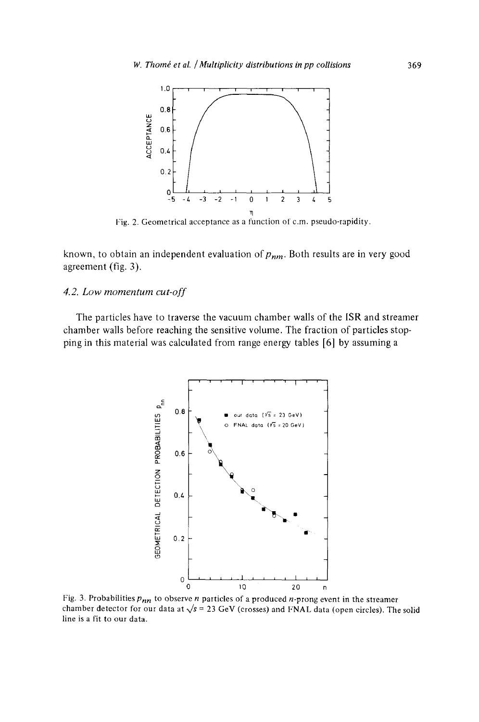

Fig. 2. Geometrical acceptance as a function of c.m. pseudo-rapidity.

known, to obtain an independent evaluation of  $p_{nm}$ . Both results are in very good agreement (fig. 3).

# *4. 2. Low momentum cut-off*

The particles have to traverse the vacuum chamber walls of the ISR and streamer chamber walls before reaching the sensitive volume. The fraction of particles stopping in this material was calculated from range energy tables [6] by assuming a



Fig. 3. Probabilities  $p_{nn}$  to observe *n* particles of a produced *n*-prong event in the streamer chamber detector for our data at  $\sqrt{s}$  = 23 GeV (crosses) and FNAL data (open circles). The solid line is a fit to our data.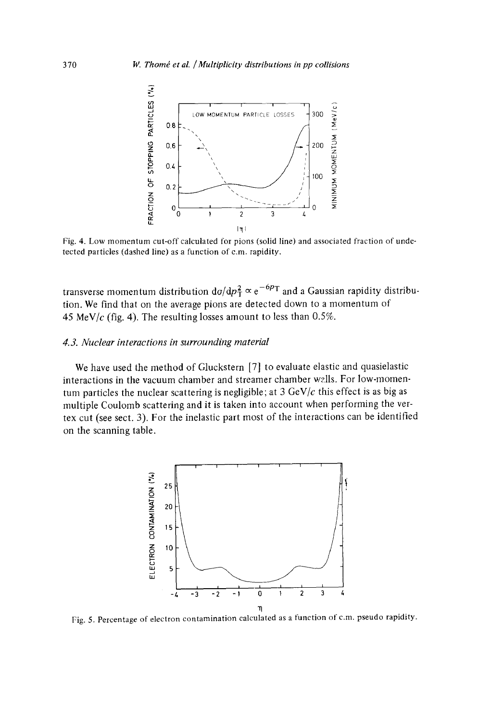

Fig. 4. **Low momentum cut-off calculated for pions (solid line) and associated fraction of undetected particles (dashed line) as a function** of c.m. **rapidity.** 

transverse momentum distribution  $d\sigma/dp_T^2 \propto e^{-6p_T}$  and a Gaussian rapidity distribu**tion. We find that on the average pions are detected down to a momentum of 45 MeV/c (fig. 4). The resulting losses amount to less than 0.5%.** 

## *4.3. Nuclear interactions in surrounding material*

**We have used the method of Gluckstern [7] to evaluate elastic and quasielastic interactions in the vacuum chamber and streamer chamber walls. For low-momentum particles the nuclear scattering is negligible; at 3 GeV/c this effect is as big as multiple Coulomb scattering and it is taken into account when performing the vertex cut (see sect. 3). For the inelastic part most of the interactions can be identified on the scanning table.** 



Fig. 5. Percentage of **electron contamination calculated as a function** of c.m. **pseudo rapidity.**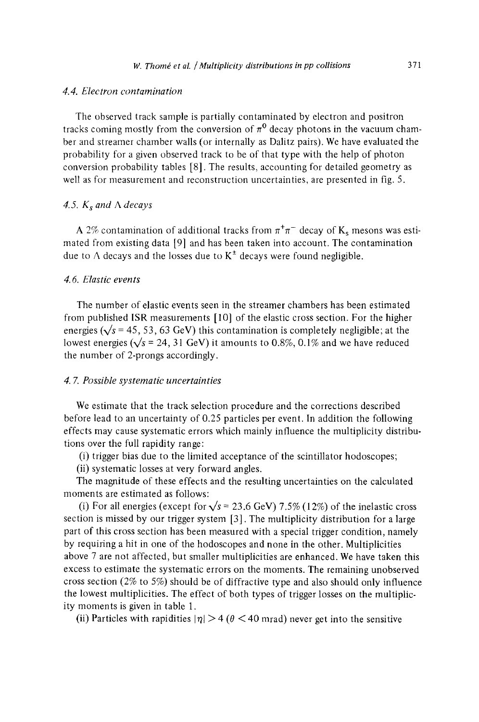#### *4.4. Electron contamination*

The observed track sample is partially contaminated by electron and positron tracks coming mostly from the conversion of  $\pi^0$  decay photons in the vacuum chamber and streamer chamber walls (or internally as Dalitz pairs). We have evaluated the probability for a given observed track to be of that type with the help of photon conversion probability tables [8]. The results, accounting for detailed geometry as well as for measurement and reconstruction uncertainties, are presented in fig. 5.

#### 4.5.  $K_s$  and  $\Lambda$  decays

A 2% contamination of additional tracks from  $\pi^+\pi^-$  decay of K<sub>s</sub> mesons was estimated from existing data [9] and has been taken into account. The contamination due to  $\Lambda$  decays and the losses due to  $K^{\pm}$  decays were found negligible.

## *4. 6. Elastic events*

The number of elastic events seen in the streamer chambers has been estimated from published ISR measurements [10] of the elastic cross section. For the higher energies ( $\sqrt{s}$  = 45, 53, 63 GeV) this contamination is completely negligible; at the lowest energies ( $\sqrt{s}$  = 24, 31 GeV) it amounts to 0.8%, 0.1% and we have reduced the number of 2-prongs accordingly.

#### *4. 7. Possible systematic uncertainties*

We estimate that the track selection procedure and the corrections described before lead to an uncertainty of 0.25 particles per event. In addition the following effects may cause systematic errors which mainly influence the multiplicity distributions over the full rapidity range:

(i) trigger bias due to the limited acceptance of the scintillator hodoscopes;

(ii) systematic losses at very forward angles.

The magnitude of these effects and the resulting uncertainties on the calculated moments are estimated as follows:

(i) For all energies (except for  $\sqrt{s}$  = 23.6 GeV) 7.5% (12%) of the inelastic cross section is missed by our trigger system [3]. The multiplicity distribution for a large part of this cross section has been measured with a special trigger condition, namely by requiring a hit in one of the hodoscopes and none in the other. Multiplicities above 7 are not affected, but smaller multiplicities are enhanced. We have taken this excess to estimate the systematic errors on the moments. The remaining unobserved cross section (2% to 5%) should be of diffractive type and also should only influence the lowest multiplicities. The effect of both types of trigger losses on the multiplicity moments is given in table 1.

(ii) Particles with rapidities  $|\eta| > 4$  ( $\theta < 40$  mrad) never get into the sensitive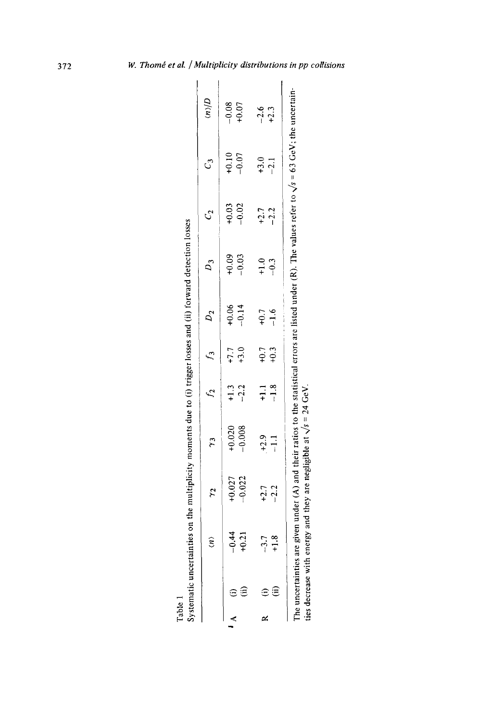|         |                  | $\gamma$             | $\mathfrak{c}_{\lambda}$ |                             | $f_2$ $f_3$ $D_2$ |                    | $D_3$            | S,                 | C3                 | d/u              |
|---------|------------------|----------------------|--------------------------|-----------------------------|-------------------|--------------------|------------------|--------------------|--------------------|------------------|
| ΞÊ      | $-0.44$<br>+0.21 | $+0.027$<br>$-0.022$ | $+0.020$<br>$-0.008$     | $+1.3$<br>$-2.2$            | $+7.7$<br>$+3.0$  | $+0.06$<br>$-0.14$ | $+0.03$          | $+0.03$<br>$-0.02$ | $+0.10$<br>$-0.07$ | $-0.08$<br>+0.07 |
| εê<br>≃ | $-3.7$<br>+1.8   | $+2.7$<br>$-2.2$     | $+2.9$<br>-1.1           | $\frac{1}{1}$ $\frac{3}{1}$ | $^{+0.7}_{+0.3}$  | $-1.6$             | $^{+1.0}_{-0.3}$ | $+2.7$<br>$-2.2$   | $+3.0$<br>$-2.1$   | $-2.6$<br>+2.3   |

Table 1<br>Svetematic uncertainties on the multiplicity moments due to (i) trigger losses and (ii) forward detection losses vstematic uncertainties on the multiplicity moments due to (i) trigger losses and (ii) forward detection losses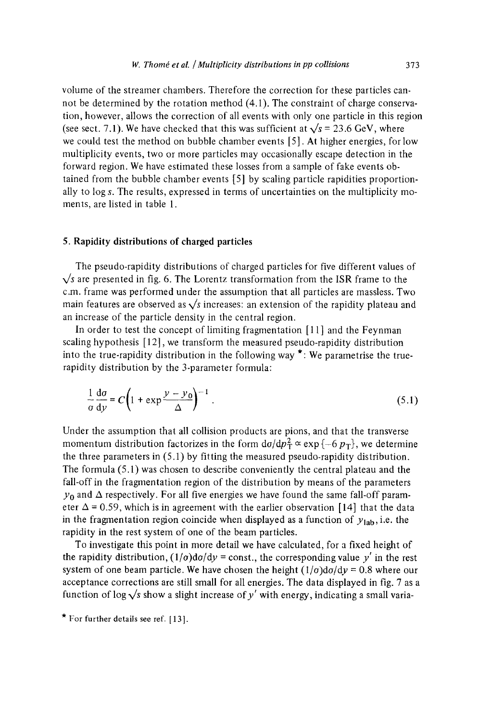volume of the streamer chambers. Therefore the correction for these particles cannot be determined by the rotation method (4.1). The constraint of charge conservation, however, allows the correction of all events with only one particle in this region (see sect. 7.1). We have checked that this was sufficient at  $\sqrt{s}$  = 23.6 GeV, where we could test the method on bubble chamber events [5]. At higher energies, for low multiplicity events, two or more particles may occasionally escape detection in the forward region. We have estimated these losses from a sample of fake events obtained from the bubble chamber events [5] by scaling particle rapidities proportionally to log s. The results, expressed in terms of uncertainties on the multiplicity moments, are listed in table 1.

#### 5. Rapidity distributions of charged particles

The pseudo-rapidity distributions of charged particles for five different values of  $\sqrt{s}$  are presented in fig. 6. The Lorentz transformation from the ISR frame to the c.m. frame was performed under the assumption that all particles are massless. Two main features are observed as  $\sqrt{s}$  increases: an extension of the rapidity plateau and an increase of the particle density in the central region.

In order to test the concept of limiting fragmentation [11] and the Feynman scaling hypothesis [12], we transform the measured pseudo-rapidity distribution into the true-rapidity distribution in the following way  $\star$ : We parametrise the truerapidity distribution by the 3-parameter formula:

$$
\frac{1}{\sigma} \frac{d\sigma}{dy} = C \left( 1 + \exp \frac{y - y_0}{\Delta} \right)^{-1} \,. \tag{5.1}
$$

Under the assumption that all collision products are pions, and that the transverse momentum distribution factorizes in the form  $d\sigma/dp_T^2 \propto \exp \{-6 p_T\}$ , we determine the three parameters in (5.1) by fitting the measured pseudo-rapidity distribution. The formula (5.1) was chosen to describe conveniently the central plateau and the fall-off in the fragmentation region of the distribution by means of the parameters  $y_0$  and  $\Delta$  respectively. For all five energies we have found the same fall-off parameter  $\Delta$  = 0.59, which is in agreement with the earlier observation [14] that the data in the fragmentation region coincide when displayed as a function of  $y_{lab}$ , i.e. the rapidity in the rest system of one of the beam particles.

To investigate this point in more detail we have calculated, for a fixed height of the rapidity distribution,  $(1/\sigma)d\sigma/dy = \text{const.}$ , the corresponding value y' in the rest system of one beam particle. We have chosen the height  $(1/\sigma)d\sigma/dy = 0.8$  where our acceptance corrections are still small for all energies. The data displayed in fig. 7 as a function of log  $\sqrt{s}$  show a slight increase of y' with energy, indicating a small varia-

<sup>\*</sup> For further details see ref.  $[13]$ .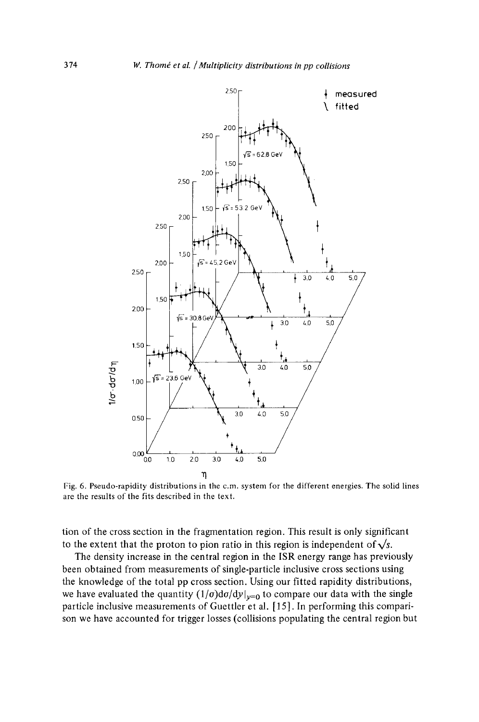

Fig. 6. Pseudo-rapidity distributions in the c.m. system for the different energies. The solid lines are the results of the fits described in the text.

tion of the cross section in the fragmentation region. This result is only significant to the extent that the proton to pion ratio in this region is independent of  $\sqrt{s}$ .

The density increase in the central region in the ISR energy range has previously been obtained from measurements of single-particle inclusive cross sections using the knowledge of the total pp cross section. Using our fitted rapidity distributions, we have evaluated the quantity  $(1/\sigma)d\sigma/dy|_{y=0}$  to compare our data with the single particle inclusive measurements of Guettler et al. [ 15]. In performing this comparison we have accounted for trigger losses (collisions populating the central region but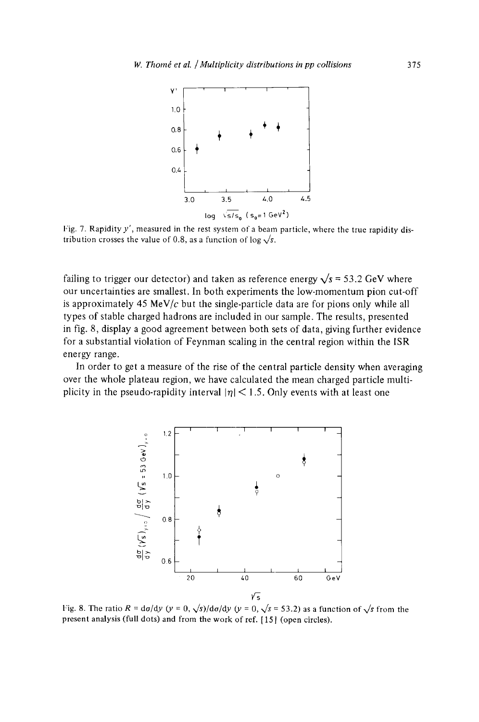

Fig. 7. Rapidity y', measured in the rest system of a beam particle, where the true rapidity distribution crosses the value of 0.8, as a function of log  $\sqrt{s}$ .

failing to trigger our detector) and taken as reference energy  $\sqrt{s}$  = 53.2 GeV where our uncertainties are smallest. In both experiments the low-momentum pion cut-off is approximately 45 MeV/ $c$  but the single-particle data are for pions only while all types of stable charged hadrons are included in our sample. The results, presented in fig. 8, display a good agreement between both sets of data, giving further evidence for a substantial violation of Feynman scaling in the central region within the ISR energy range.

In order to get a measure of the rise of the central particle density when averaging over the whole plateau region, we have calculated the mean charged particle multiplicity in the pseudo-rapidity interval  $|\eta|$  < 1.5. Only events with at least one



Fig. 8. The ratio  $R = d\sigma/dy$  ( $y = 0$ ,  $\sqrt{s}$ )/ $d\sigma/dy$  ( $y = 0$ ,  $\sqrt{s} = 53.2$ ) as a function of  $\sqrt{s}$  from the present analysis (full dots) and from the work of ref. [15] (open circles).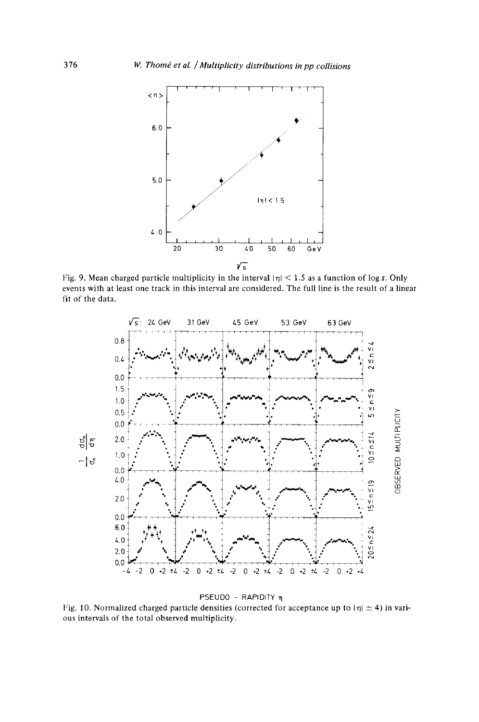

Fig. 9. Mean charged particle multiplicity in the interval  $|\eta|$  < 1.5 as a function of log s. Only **events with at least one track in this interval are considered. The full line is the result of a linear fit of the data.** 



PSEUDO - RAPIDITY η

Fig. 10. Normalized charged particle densities (corrected for acceptance up to  $|\eta| \simeq 4$ ) in various intervals of the total observed multiplicity.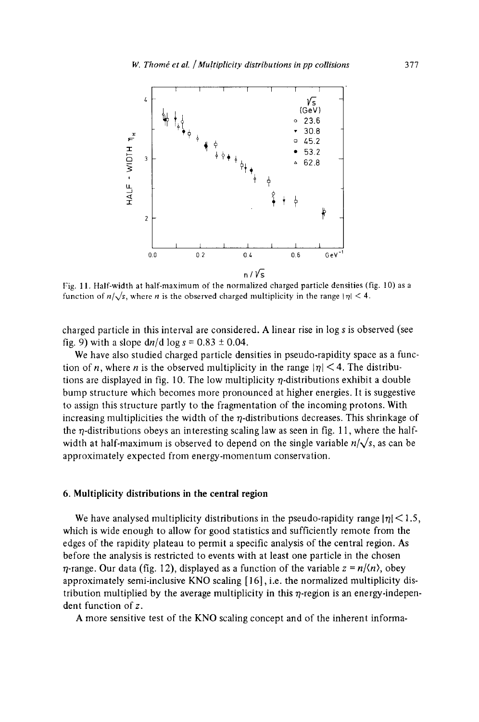

Fig. 1 1. Half-width at half-maximum of the normalized charged particle densities (fig. 10) as a function of  $n/\sqrt{s}$ , where *n* is the observed charged multiplicity in the range  $|\eta| < 4$ .

charged particle in this interval are considered. A linear rise in log s is observed (see fig. 9) with a slope  $dn/d \log s = 0.83 \pm 0.04$ .

We have also studied charged particle densities in pseudo-rapidity space as a function of *n*, where *n* is the observed multiplicity in the range  $|\eta|$  < 4. The distributions are displayed in fig. 10. The low multiplicity  $\eta$ -distributions exhibit a double bump structure which becomes more pronounced at higher energies. It is suggestive to assign this structure partly to the fragmentation of the incoming protons. With increasing multiplicities the width of the  $\eta$ -distributions decreases. This shrinkage of the  $\eta$ -distributions obeys an interesting scaling law as seen in fig. 11, where the halfwidth at half-maximum is observed to depend on the single variable  $n/\sqrt{s}$ , as can be approximately expected from energy-momentum conservation.

#### 6. Multiplicity distributions in the central region

We have analysed multiplicity distributions in the pseudo-rapidity range  $|\eta|$  < 1.5, which is wide enough to allow for good statistics and sufficiently remote from the edges of the rapidity plateau to permit a specific analysis of the central region. As before the analysis is restricted to events with at least one particle in the chosen  $\eta$ -range. Our data (fig. 12), displayed as a function of the variable  $z = n/(n)$ , obey approximately semi-inclusive KNO scaling [16], i.e. the normalized multiplicity distribution multiplied by the average multiplicity in this  $\eta$ -region is an energy-independent function of z.

A more sensitive test of the KNO scaling concept and of the inherent informa-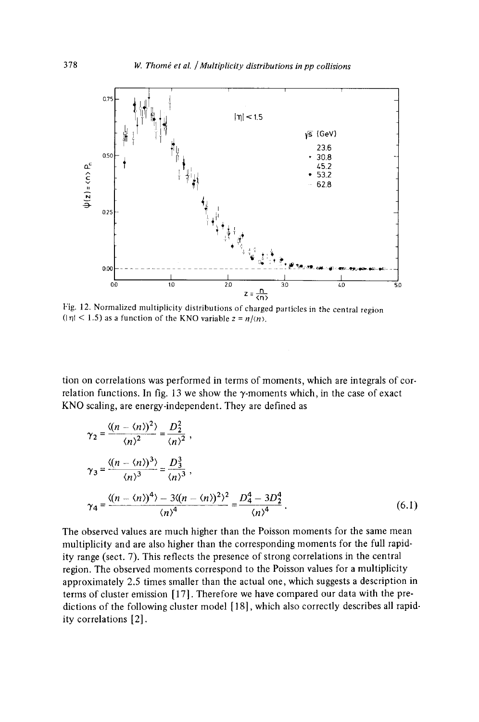

Fig. 12. Normalized multiplicity distributions of charged particles in the central region  $(|\eta| < 1.5)$  as a function of the KNO variable  $z = n/(n)$ .

tion on correlations was performed in terms of moments, which are integrals of correlation functions. In fig. 13 we show the  $\gamma$ -moments which, in the case of exact KNO scaling, are energy-independent. They are defined as

$$
\gamma_2 = \frac{\langle (n - \langle n \rangle)^2 \rangle}{\langle n \rangle^2} = \frac{D_2^2}{\langle n \rangle^2},
$$
  
\n
$$
\gamma_3 = \frac{\langle (n - \langle n \rangle)^3 \rangle}{\langle n \rangle^3} = \frac{D_3^3}{\langle n \rangle^3},
$$
  
\n
$$
\gamma_4 = \frac{\langle (n - \langle n \rangle)^4 \rangle - 3\langle (n - \langle n \rangle)^2 \rangle^2}{\langle n \rangle^4} = \frac{D_4^4 - 3D_2^4}{\langle n \rangle^4}.
$$
 (6.1)

The observed values are much higher than the Poisson moments for the same mean multiplicity and are also higher than the corresponding moments for the full rapidity range (sect. 7). This reflects the presence of strong correlations in the central region. The observed moments correspond to the Poisson values for a multiplicity approximately 2.5 times smaller than the actual one, which suggests a description in terms of cluster emission [ 17]. Therefore we have compared our data with the predictions of the following cluster model [18], which also correctly describes all rapidity correlations [2].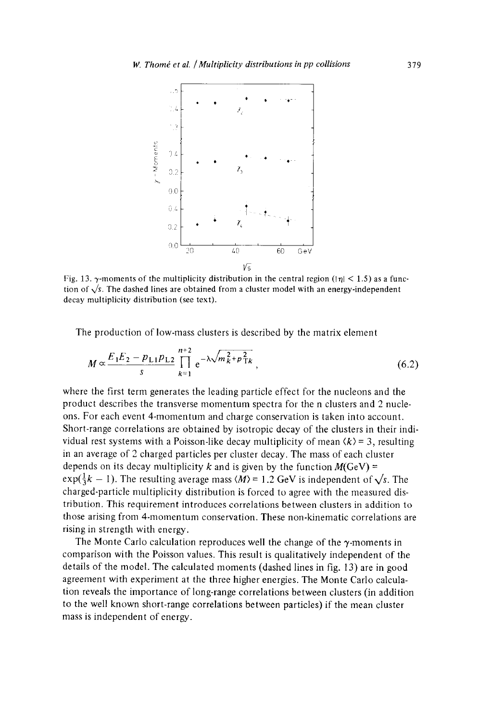

Fig. 13.  $\gamma$ -moments of the multiplicity distribution in the central region ( $|\eta|$  < 1.5) as a function of  $\sqrt{s}$ . The dashed lines are obtained from a cluster model with an energy-independent decay multiplicity distribution (see text).

The production of low-mass clusters is described by the matrix element

$$
M \propto \frac{E_1 E_2 - p_{11} p_{12}}{s} \prod_{k=1}^{n+2} e^{-\lambda \sqrt{m_k^2 + p_{1k}^2}},
$$
 (6.2)

where the first term generates the leading particle effect for the nucleons and the product describes the transverse momentum spectra for the n clusters and 2 nucleons. For each event 4-momentum and charge conservation is taken into account. Short-range correlations are obtained by isotropic decay of the clusters in their individual rest systems with a Poisson-like decay multiplicity of mean  $\langle k \rangle$  = 3, resulting in an average of 2 charged particles per cluster decay. The mass of each cluster depends on its decay multiplicity k and is given by the function  $M(GeV)$  =  $exp(\frac{1}{3}k - 1)$ . The resulting average mass  $\langle M \rangle = 1.2$  GeV is independent of  $\sqrt{s}$ . The charged-particle multiplicity distribution is forced to agree with the measured distribution. This requirement introduces correlations between clusters in addition to those arising from 4-momentum conservation. These non-kinematic correlations are rising in strength with energy.

The Monte Carlo calculation reproduces well the change of the  $\gamma$ -moments in comparison with the Poisson values. This result is qualitatively independent of the details of the model. The calculated moments (dashed lines in fig. 13) are in good agreement with experiment at the three higher energies. The Monte Carlo calculation reveals the importance of long-range correlations between clusters (in addition to the well known short-range correlations between particles) if the mean duster mass is independent of energy.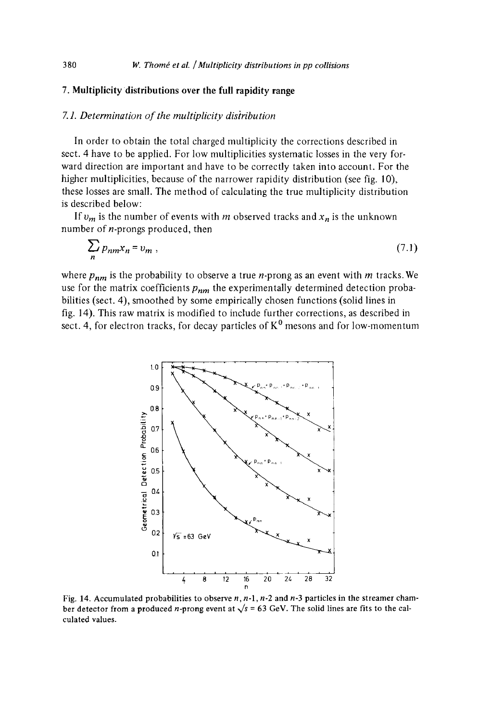# **7. Multiplicity distributions over the full rapidity range**

#### *7.1. Determination of the multiplicity disiribution*

In order to obtain the total charged multiplicity the corrections described in sect. 4 have to be applied. For low multiplicities systematic losses in the very forward direction are important and have to be correctly taken into account. For the higher multiplicities, because of the narrower rapidity distribution (see fig. 10), these losses are small. The method of calculating the true multiplicity distribution is described below:

If  $v_m$  is the number of events with m observed tracks and  $x_n$  is the unknown number of  $n$ -prongs produced, then

$$
\sum_{n} p_{nm} x_n = v_m , \qquad (7.1)
$$

where  $p_{nm}$  is the probability to observe a true *n*-prong as an event with *m* tracks. We use for the matrix coefficients *Pnm* the experimentally determined detection probabilities (sect. 4), smoothed by some empirically chosen functions (solid lines in fig. 14). This raw matrix is modified to include further corrections, as described in sect. 4, for electron tracks, for decay particles of  $K^0$  mesons and for low-momentum



**Fig. 14. Accumulated probabilities to observe n, n-l, n-2 and n-3 particles in the streamer cham**ber detector from a produced *n*-prong event at  $\sqrt{s}$  = 63 GeV. The solid lines are fits to the calculated **values.**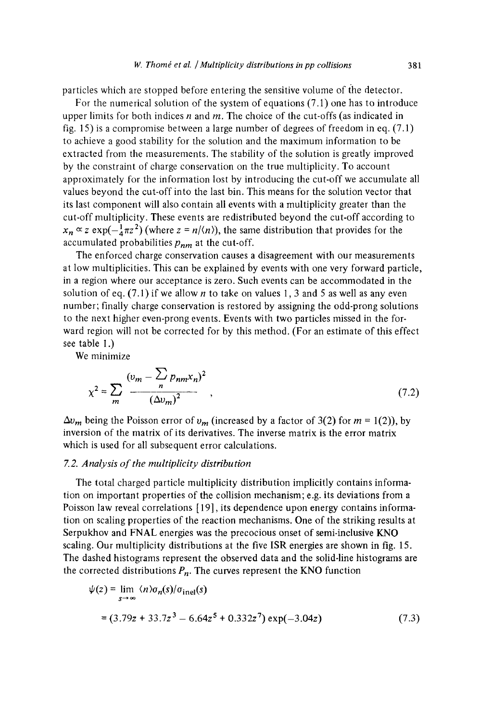particles which are stopped before entering the sensitive volume of the detector.

For the numerical solution of the system of equations (7.1) one has to introduce upper limits for both indices  $n$  and  $m$ . The choice of the cut-offs (as indicated in fig. 15) is a compromise between a large number of degrees of freedom in eq. (7.1) to achieve a good stability for the solution and the maximum information to be extracted from the measurements. The stability of the solution is greatly improved by the constraint of charge conservation on the true multiplicity. To account approximately for the information lost by introducing the cut-off we accumulate all values beyond the cut-off into the last bin. This means for the solution vector that its last component will also contain all events with a multiplicity greater than the cut-off multiplicity. These events are redistributed beyond the cut-off according to  $x_n \propto z \exp(-\frac{1}{4}\pi z^2)$  (where  $z = n/(n)$ ), the same distribution that provides for the accumulated probabilities  $p_{nm}$  at the cut-off.

The enforced charge conservation causes a disagreement with our measurements at low multiplicities. This can be explained by events with one very forward particle, in a region where our acceptance is zero. Such events can be accommodated in the solution of eq. (7.1) if we allow *n* to take on values 1, 3 and 5 as well as any even number; finally charge conservation is restored by assigning the odd-prong solutions to the next higher even-prong events. Events with two particles missed in the forward region will not be corrected for by this method. (For an estimate of this effect see table I.)

We minimize

$$
\chi^2 = \sum_m \frac{(v_m - \sum_{n} p_{nm} x_n)^2}{(\Delta v_m)^2},
$$
\n(7.2)

 $\Delta v_m$  being the Poisson error of  $v_m$  (increased by a factor of 3(2) for  $m = 1(2)$ ), by inversion of the matrix of its derivatives. The inverse matrix is the error matrix which is used for all subsequent error calculations.

#### *7. 2. Analysis of the multiplicity distribution*

The total charged particle multiplicity distribution implicitly contains information on important properties of the collision mechanism; e.g. its deviations from a Poisson law reveal correlations [ 19], its dependence upon energy contains information on scaling properties of the reaction mechanisms. One of the striking results at Serpukhov and FNAL energies was the precocious onset of semi-inclusive KNO scaling. Our multiplicity distributions at the five ISR energies are shown in fig. 15. The dashed histograms represent the observed data and the solid-line histograms are the corrected distributions  $P_n$ . The curves represent the KNO function

$$
\psi(z) = \lim_{s \to \infty} \langle n \rangle \sigma_n(s) / \sigma_{\text{inel}}(s)
$$
  
= (3.79z + 33.7z<sup>3</sup> - 6.64z<sup>5</sup> + 0.332z<sup>7</sup>) exp(-3.04z) (7.3)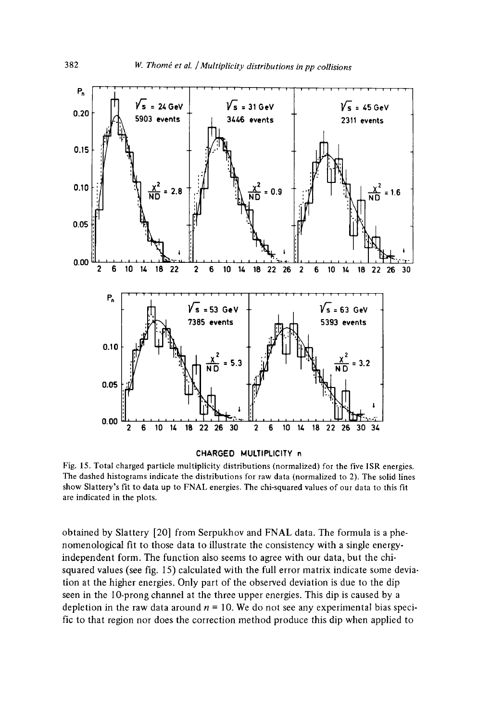

#### **CHARGED MULTIPLICITY n**

Fig. 15. Total charged particle multiplicity distributions (normalized) for the five ISR energies. The dashed histograms indicate the distributions for raw data (normalized to 2). The solid lines show Slattery's fit to data up to FNAL energies. The chi-squared values of our data to this fit are indicated in the plots.

obtained by Slattery [20] from Serpukhov and FNAL data. The formula is a phenomenological fit to those data to illustrate the consistency with a single energyindependent form. The function also seems to agree with our data, but the chisquared values (see fig. 15) calculated with the full error matrix indicate some deviation at the higher energies. Only part of the observed deviation is due to the dip seen in the 10-prong channel at the three upper energies. This dip is caused by a depletion in the raw data around  $n = 10$ . We do not see any experimental bias specific to that region nor does the correction method produce this dip when applied to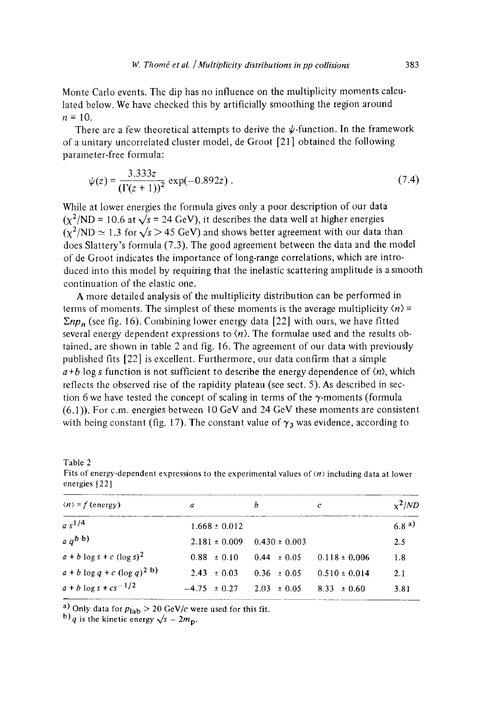Monte Carlo events. The dip has no influence on the multiplicity moments calculated below. We have checked this by artificially smoothing the region around  $n = 10$ .

There are a few theoretical attempts to derive the  $\psi$ -function. In the framework of a unitary uncorrelated cluster model, de Groot [21 ] obtained the following parameter-free formula:

$$
\psi(z) = \frac{3.333z}{(\Gamma(z+1))^2} \exp(-0.892z) \,. \tag{7.4}
$$

While at lower energies the formula gives only a poor description of our data  $(x^2/ND = 10.6$  at  $\sqrt{s} = 24$  GeV), it describes the data well at higher energies  $(\chi^2/ND \simeq 1.3$  for  $\sqrt{s} > 45$  GeV) and shows better agreement with our data than does Slattery's formula (7.3). The good agreement between the data and the model of de Groot indicates the importance of long-range correlations, which are introduced into this model by requiring that the inelastic scattering amplitude is a smooth continuation of the elastic one.

A more detailed analysis of the multiplicity distribution can be performed in terms of moments. The simplest of these moments is the average multiplicity  $\langle n \rangle$  =  $\sum np_n$  (see fig. 16). Combining lower energy data [22] with ours, we have fitted several energy dependent expressions to  $(n)$ . The formulae used and the results obtained, are shown in table 2 and fig. 16. The agreement of our data with previously published fits [22] is excellent. Furthermore, our data confirm that a simple  $a+b$  log s function is not sufficient to describe the energy dependence of  $\langle n \rangle$ , which reflects the observed rise of the rapidity plateau (see sect. 5). As described in section 6 we have tested the concept of scaling in terms of the  $\gamma$ -moments (formula (6.1)). For c.m. energies between 10 GeV and 24 GeV these moments are consistent with being constant (fig. 17). The constant value of  $\gamma_3$  was evidence, according to

| able |  |
|------|--|
|      |  |

Fits of energy-dependent expressions to the experimental values of  $\langle n \rangle$  including data at lower energies [22]

| $\langle n \rangle = f$ (energy)  | a                 | b                 | c                 | $x^2/ND$ |
|-----------------------------------|-------------------|-------------------|-------------------|----------|
| $a s^{1/4}$                       | $1.668 \pm 0.012$ |                   |                   | 6.8a     |
| $a q^b b$                         | $2.181 \pm 0.009$ | $0.430 \pm 0.003$ |                   | 2.5      |
| $a + b \log s + c (\log s)^2$     | $0.88 \pm 0.10$   | $0.44 \pm 0.05$   | $0.118 \pm 0.006$ | 1.8      |
| $a + b \log q + c (\log q)^{2 b}$ | $2.43 \pm 0.03$   | $0.36 \pm 0.05$   | $0.510 \pm 0.014$ | 2.1      |
| $a + b \log s + c s^{-1/2}$       | $-4.75 \pm 0.27$  | $2.03 \pm 0.05$   | $8.33 \pm 0.60$   | 3.81     |

<sup>a)</sup> Only data for  $p_{lab} > 20$  GeV/c were used for this fit.

<sup>b)</sup>q is the kinetic energy  $\sqrt{s} - 2m_p$ .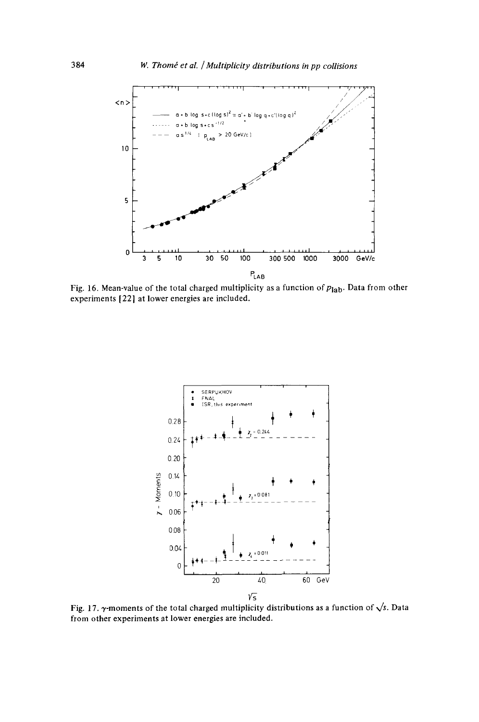

Fig. 16. Mean-value of the total charged multiplicity as a function of  $p_{lab}$ . Data from other experiments [22] at lower energies are included.



Fig. 17.  $\gamma$ -moments of the total charged multiplicity distributions as a function of  $\sqrt{s}$ . Data from other experiments at lower energies are included.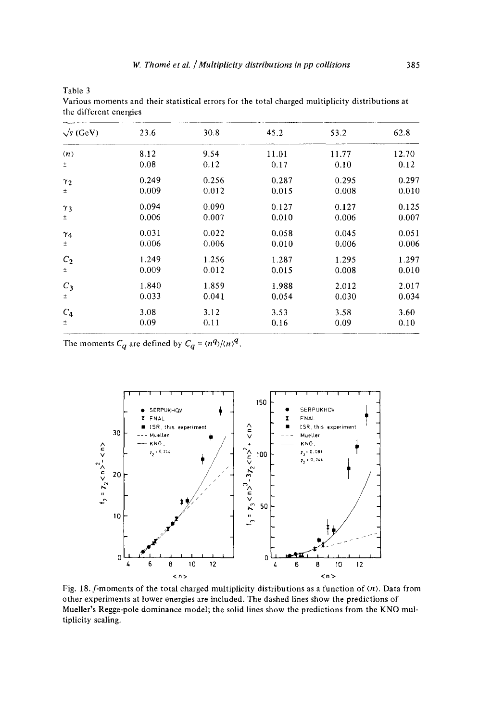| the unterent energies |       |       |       |       |       |  |  |
|-----------------------|-------|-------|-------|-------|-------|--|--|
| $\sqrt{s}$ (GeV)      | 23.6  | 30.8  | 45.2  | 53.2  | 62.8  |  |  |
| $\langle n \rangle$   | 8.12  | 9.54  | 11.01 | 11.77 | 12.70 |  |  |
| ±                     | 0.08  | 0.12  | 0.17  | 0.10  | 0.12  |  |  |
| $\gamma_2$            | 0.249 | 0.256 | 0.287 | 0.295 | 0.297 |  |  |
| $\pm$                 | 0.009 | 0.012 | 0.015 | 0.008 | 0.010 |  |  |
| $\gamma_3$            | 0.094 | 0.090 | 0.127 | 0.127 | 0.125 |  |  |
| Ŧ                     | 0.006 | 0.007 | 0.010 | 0.006 | 0.007 |  |  |
| $\gamma_4$            | 0.031 | 0.022 | 0.058 | 0.045 | 0.051 |  |  |
| ±                     | 0.006 | 0.006 | 0.010 | 0.006 | 0.006 |  |  |
| $C_2$                 | 1.249 | 1.256 | 1.287 | 1.295 | 1.297 |  |  |
| ±.                    | 0.009 | 0.012 | 0.015 | 0.008 | 0.010 |  |  |
| $C_3$                 | 1.840 | 1.859 | 1.988 | 2.012 | 2.017 |  |  |
| ŧ                     | 0.033 | 0.041 | 0.054 | 0.030 | 0.034 |  |  |
| $C_4$                 | 3.08  | 3.12  | 3.53  | 3.58  | 3.60  |  |  |
| Ŧ.                    | 0.09  | 0.11  | 0.16  | 0.09  | 0.10  |  |  |

Various moments and their statistical errors for the total charged multiplicity distributions at the different energies

The moments  $C_q$  are defined by  $C_q = \langle n^q \rangle / \langle n \rangle^q$ .

Table 3



Fig. 18. f-moments of the total charged multiplicity distributions as a function of  $\langle n \rangle$ . Data from other experiments at lower energies are included. The dashed lines show the predictions of Mueller's Regge-pole dominance model; the solid lines show the predictions from the KNO multiplicity scaling.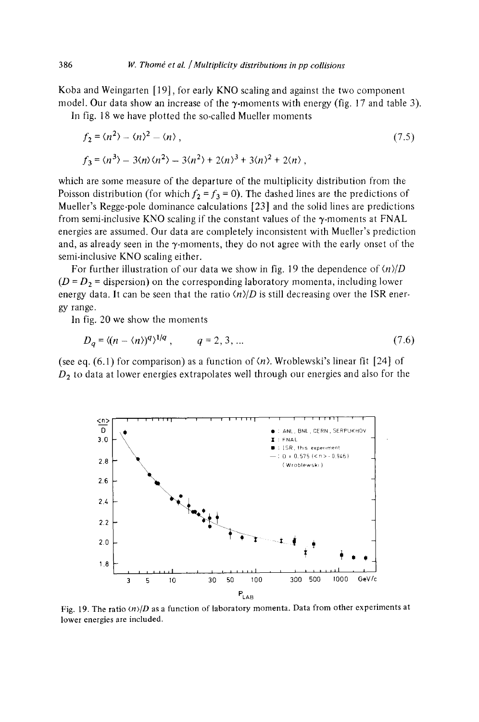Koba and Weingarten [ 19], for early KNO scaling and against the two component model. Our data show an increase of the  $\gamma$ -moments with energy (fig. 17 and table 3).

In fig. 18 we have plotted the so-called Mueller moments

$$
f_2 = \langle n^2 \rangle - \langle n \rangle^2 - \langle n \rangle, \tag{7.5}
$$
  

$$
f_3 = \langle n^3 \rangle - 3\langle n \rangle \langle n^2 \rangle - 3\langle n^2 \rangle + 2\langle n \rangle^3 + 3\langle n \rangle^2 + 2\langle n \rangle,
$$

which are some measure of the departure of the multiplicity distribution from the Poisson distribution (for which  $f_2 = f_3 = 0$ ). The dashed lines are the predictions of Mueller's Regge-pole dominance calculations [23] and the solid lines are predictions from semi-inclusive KNO scaling if the constant values of the  $\gamma$ -moments at FNAL energies are assumed. Our data are completely inconsistent with Mueller's prediction and, as already seen in the  $\gamma$ -moments, they do not agree with the early onset of the semi-inclusive KNO scaling either.

For further illustration of our data we show in fig. 19 the dependence of  $\langle n \rangle/D$  $(D = D<sub>2</sub> =$  dispersion) on the corresponding laboratory momenta, including lower energy data. It can be seen that the ratio  $\langle n \rangle/D$  is still decreasing over the ISR energy range.

In fig. 20 we show the moments

$$
D_a = \langle (n - \langle n \rangle)^q \rangle^{1/q}, \qquad q = 2, 3, \dots \tag{7.6}
$$

(see eq. (6.1) for comparison) as a function of  $\langle n \rangle$ . Wroblewski's linear fit [24] of  $D<sub>2</sub>$  to data at lower energies extrapolates well through our energies and also for the



Fig. 19. The ratio *(n>/D* as a function of laboratory momenta. Data from other experiments at lower energies are included.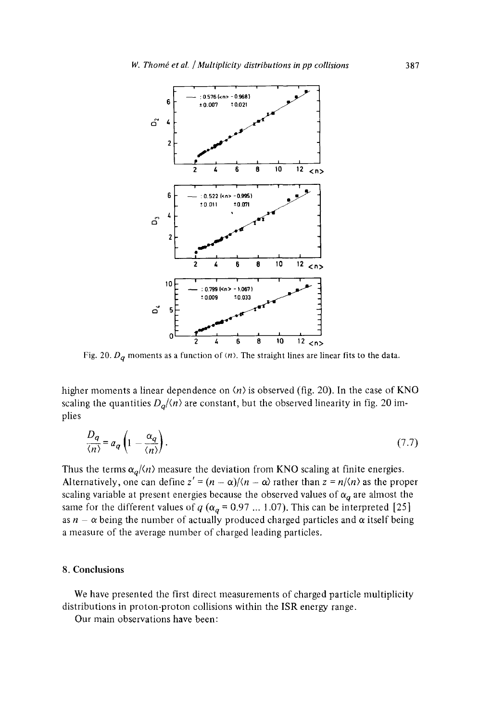

Fig. 20.  $D_q$  moments as a function of  $\langle n \rangle$ . The straight lines are linear fits to the data.

higher moments a linear dependence on  $\langle n \rangle$  is observed (fig. 20). In the case of KNO scaling the quantities  $D_q/(n)$  are constant, but the observed linearity in fig. 20 implies

$$
\frac{D_q}{\langle n \rangle} = a_q \left( 1 - \frac{\alpha_q}{\langle n \rangle} \right). \tag{7.7}
$$

Thus the terms  $\alpha_q/\langle n \rangle$  measure the deviation from KNO scaling at finite energies. Alternatively, one can define  $z' = (n - \alpha)/\langle n - \alpha \rangle$  rather than  $z = n/\langle n \rangle$  as the proper scaling variable at present energies because the observed values of  $\alpha_q$  are almost the same for the different values of  $q(\alpha_q = 0.97 \dots 1.07)$ . This can be interpreted [25] as  $n - \alpha$  being the number of actually produced charged particles and  $\alpha$  itself being a measure of the average number of charged leading particles.

# 8. Conclusions

We have presented the first direct measurements of charged particle multiplicity distributions in proton-proton collisions within the ISR energy range.

Our main observations have been: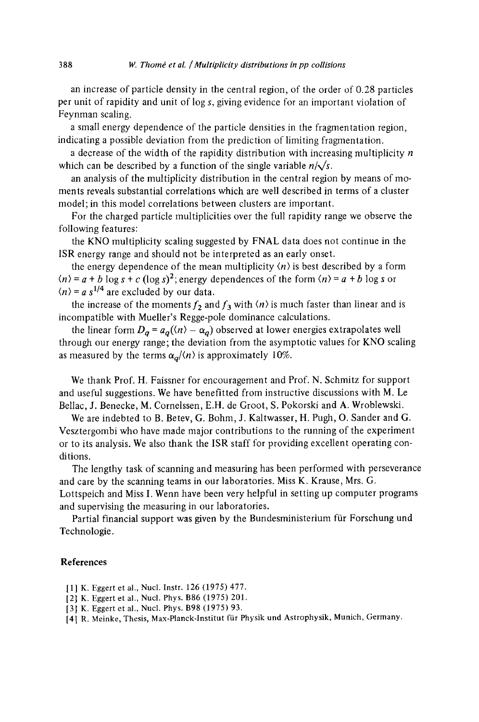an increase of particle density in the central region, of the order of 0.28 particles per unit of rapidity and unit of log s, giving evidence for an important violation of Feynman scaling.

a small energy dependence of the particle densities in the fragmentation region, indicating a possible deviation from the prediction of limiting fragmentation.

a decrease of the width of the rapidity distribution with increasing multiplicity  $n$ which can be described by a function of the single variable  $n/\sqrt{s}$ .

an analysis of the multiplicity distribution in the central region by means of moments reveals substantial correlations which are well described in terms of a cluster model; in this model correlations between clusters are important.

For the charged particle multiplicities over the full rapidity range we observe the following features:

the KNO multiplicity scaling suggested by FNAL data does not continue in the ISR energy range and should not be interpreted as an early onset.

the energy dependence of the mean multiplicity  $\langle n \rangle$  is best described by a form  $(n) = a + b \log s + c$  (log s)<sup>2</sup>; energy dependences of the form  $(n) = a + b \log s$  or  $\langle n \rangle = a s^{1/4}$  are excluded by our data.

the increase of the moments  $f_2$  and  $f_3$  with  $\langle n \rangle$  is much faster than linear and is incompatible with Mueller's Regge-pole dominance calculations.

the linear form  $D_q = a_q(\langle n \rangle - \alpha_q)$  observed at lower energies extrapolates well through our energy range; the deviation from the asymptotic values for KNO scaling as measured by the terms  $\alpha_q/\langle n \rangle$  is approximately 10%.

We thank Prof. H. Faissner for encouragement and Prof. N. Schmitz for support and useful suggestions. We have benefitted from instructive discussions with M. Le Bellac, J. Benecke, M. Cornelssen, E.H. de Groot, S. Pokorski and A. Wroblewski.

We are indebted to B. Betev, G. Bohm, J. Kaltwasser, H. Pugh, O. Sander and G. Vesztergombi who have made major contributions to the running of the experiment or to its analysis. We also thank the ISR staff for providing excellent operating conditions.

The lengthy task of scanning and measuring has been performed with perseverance and care by the scanning teams in our laboratories. Miss K. Krause, Mrs. G. Lottspeich and Miss I. Wenn have been very helpful in setting up computer programs and supervising the measuring in our laboratories.

Partial financial support was given by the Bundesministerium für Forschung und Technologie.

#### **References**

- [1] K. Eggert et al., Nucl. Instr. 126 (1975) 477.
- [2] K. Eggert et al., Nucl. Phys. B86 (1975) 201.
- [3] K. Eggert et al., Nucl. Phys. B98 (1975) 93.

[4] R. Meinke, Thesis, Max-Planck-Institut fiir Physik und Astrophysik, Munich, Germany.